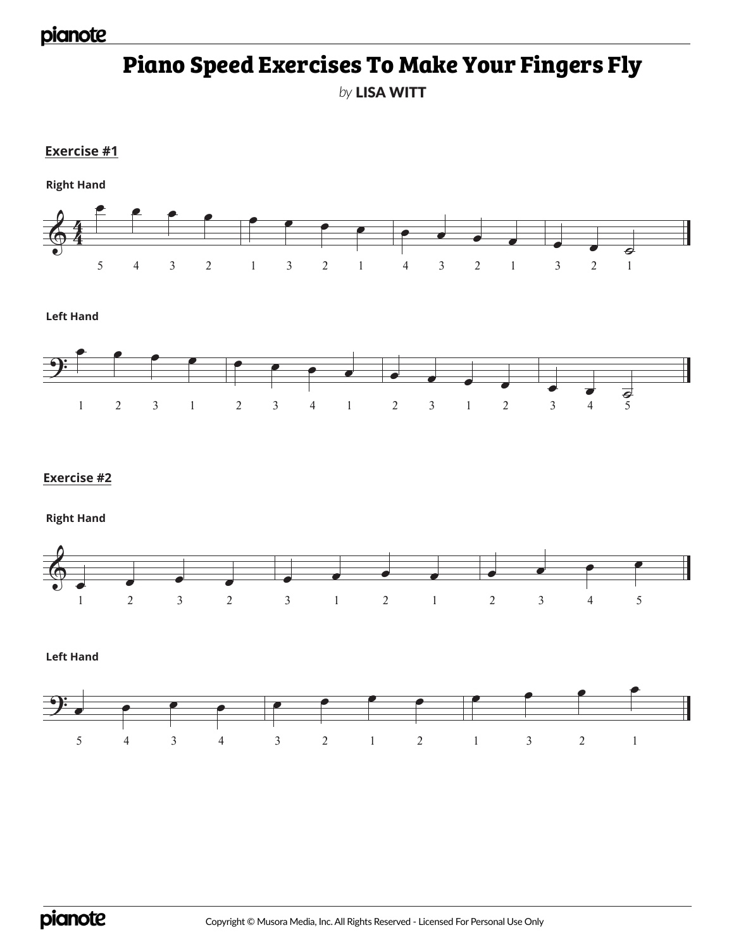### pianote

# **Piano Speed Exercises To Make Your Fingers Fly**

*by* LISA WITT

**Exercise #1**

 $\frac{2}{9}$  $\bullet$   $\bullet$   $\bullet$ 5 4 3 2  $\bullet$   $\bullet$   $\bullet$ 1 3 2 1 œ œ œ œ 4 3 2 1  $\bullet$   $\bullet$   $\bullet$ 3 2 1 **Right Hand**

**Left Hand**



#### **Exercise #2**

**Right Hand**



**Left Hand**